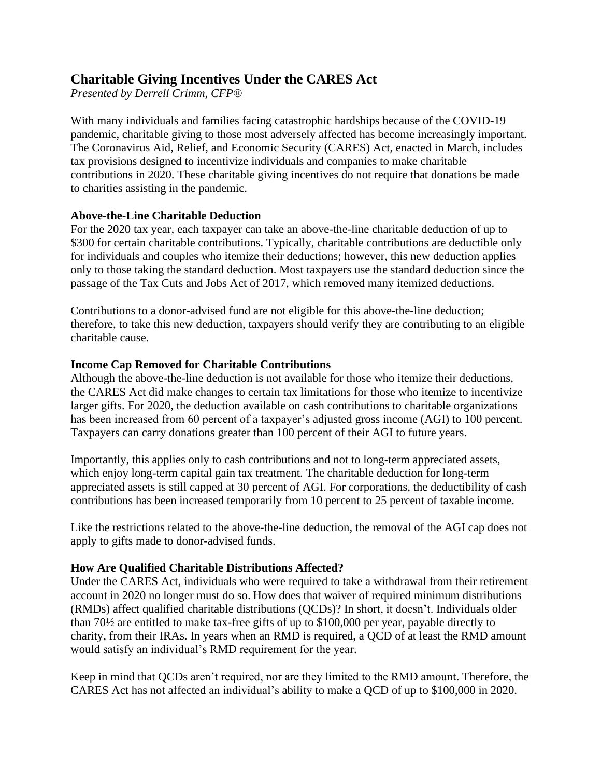# **Charitable Giving Incentives Under the CARES Act**

*Presented by Derrell Crimm, CFP®*

With many individuals and families facing catastrophic hardships because of the COVID-19 pandemic, charitable giving to those most adversely affected has become increasingly important. The Coronavirus Aid, Relief, and Economic Security (CARES) Act, enacted in March, includes tax provisions designed to incentivize individuals and companies to make charitable contributions in 2020. These charitable giving incentives do not require that donations be made to charities assisting in the pandemic.

## **Above-the-Line Charitable Deduction**

For the 2020 tax year, each taxpayer can take an above-the-line charitable deduction of up to \$300 for certain charitable contributions. Typically, charitable contributions are deductible only for individuals and couples who itemize their deductions; however, this new deduction applies only to those taking the standard deduction. Most taxpayers use the standard deduction since the passage of the Tax Cuts and Jobs Act of 2017, which removed many itemized deductions.

Contributions to a donor-advised fund are not eligible for this above-the-line deduction; therefore, to take this new deduction, taxpayers should verify they are contributing to an eligible charitable cause.

## **Income Cap Removed for Charitable Contributions**

Although the above-the-line deduction is not available for those who itemize their deductions, the CARES Act did make changes to certain tax limitations for those who itemize to incentivize larger gifts. For 2020, the deduction available on cash contributions to charitable organizations has been increased from 60 percent of a taxpayer's adjusted gross income (AGI) to 100 percent. Taxpayers can carry donations greater than 100 percent of their AGI to future years.

Importantly, this applies only to cash contributions and not to long-term appreciated assets, which enjoy long-term capital gain tax treatment. The charitable deduction for long-term appreciated assets is still capped at 30 percent of AGI. For corporations, the deductibility of cash contributions has been increased temporarily from 10 percent to 25 percent of taxable income.

Like the restrictions related to the above-the-line deduction, the removal of the AGI cap does not apply to gifts made to donor-advised funds.

#### **How Are Qualified Charitable Distributions Affected?**

Under the CARES Act, individuals who were required to take a withdrawal from their retirement account in 2020 no longer must do so. How does that waiver of required minimum distributions (RMDs) affect qualified charitable distributions (QCDs)? In short, it doesn't. Individuals older than 70½ are entitled to make tax-free gifts of up to \$100,000 per year, payable directly to charity, from their IRAs. In years when an RMD is required, a QCD of at least the RMD amount would satisfy an individual's RMD requirement for the year.

Keep in mind that QCDs aren't required, nor are they limited to the RMD amount. Therefore, the CARES Act has not affected an individual's ability to make a QCD of up to \$100,000 in 2020.